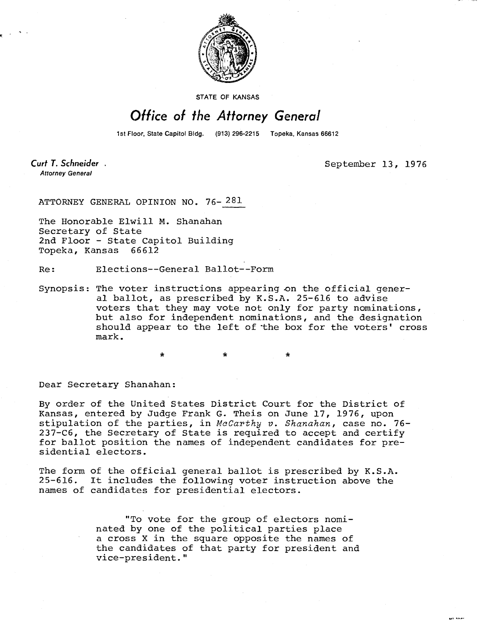

STATE OF KANSAS

## Office of the Attorney General

1st Floor, State Capitol Bldg. (913) 296-2215 Topeka, Kansas 66612

Curt T. Schneider. **Attorney General** 

September 13, 1976

ATTORNEY GENERAL OPINION NO. 76- 281

The Honorable Elwill M. Shanahan Secretary of State 2nd Floor - State Capitol Building Topeka, Kansas 66612

Re: Elections--General Ballot--Form

Synopsis: The voter instructions appearing on the official general ballot, as prescribed by K.S.A. 25-616 to advise voters that they may vote not only for party nominations, but also for independent nominations, and the designation should appear to the left of 'the box for the voters' cross mark.

Dear Secretary Shanahan:

By order of the United States District Court for the District of Kansas, entered by Judge Frank G. Theis on June 17, 1976, upon stipulation of the parties, in McCarthy v. Shanahan, case no. 76-237-C6, the Secretary of State is required to accept and certify for ballot position the names of independent candidates for presidential electors.

The form of the official general ballot is prescribed by K.S.A.<br>25-616. It includes the following voter instruction above the It includes the following voter instruction above the names of candidates for presidential electors.

> "To vote for the group of electors nominated by one of the political parties place a cross X in the square opposite the names of the candidates of that party for president and vice-president."